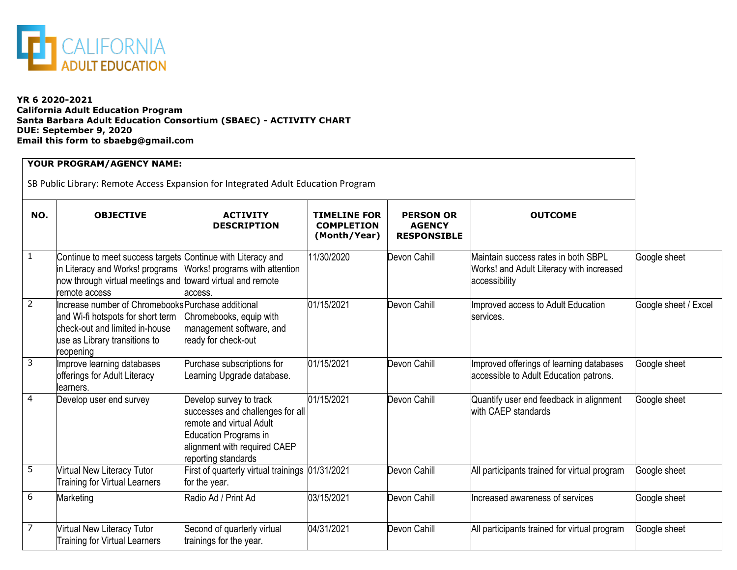

## **YR 6 2020-2021 California Adult Education Program Santa Barbara Adult Education Consortium (SBAEC) - ACTIVITY CHART DUE: September 9, 2020 Email this form to sbaebg@gmail.com**

| YOUR PROGRAM/AGENCY NAME:<br>SB Public Library: Remote Access Expansion for Integrated Adult Education Program |                                                                                                                                                                               |                                                                                                                                                                         |                                                          |                                                         |                                                                                                  |                      |  |
|----------------------------------------------------------------------------------------------------------------|-------------------------------------------------------------------------------------------------------------------------------------------------------------------------------|-------------------------------------------------------------------------------------------------------------------------------------------------------------------------|----------------------------------------------------------|---------------------------------------------------------|--------------------------------------------------------------------------------------------------|----------------------|--|
| NO.                                                                                                            | <b>OBJECTIVE</b>                                                                                                                                                              | <b>ACTIVITY</b><br><b>DESCRIPTION</b>                                                                                                                                   | <b>TIMELINE FOR</b><br><b>COMPLETION</b><br>(Month/Year) | <b>PERSON OR</b><br><b>AGENCY</b><br><b>RESPONSIBLE</b> | <b>OUTCOME</b>                                                                                   |                      |  |
| $\mathbf{1}$                                                                                                   | Continue to meet success targets Continue with Literacy and<br>in Literacy and Works! programs<br>now through virtual meetings and toward virtual and remote<br>remote access | Works! programs with attention<br>access.                                                                                                                               | 11/30/2020                                               | Devon Cahill                                            | Maintain success rates in both SBPL<br>Works! and Adult Literacy with increased<br>accessibility | Google sheet         |  |
| $\overline{2}$                                                                                                 | Increase number of ChromebooksPurchase additional<br>and Wi-fi hotspots for short term<br>check-out and limited in-house<br>use as Library transitions to<br>reopening        | Chromebooks, equip with<br>management software, and<br>ready for check-out                                                                                              | 01/15/2021                                               | Devon Cahill                                            | Improved access to Adult Education<br>services.                                                  | Google sheet / Excel |  |
| 3                                                                                                              | Improve learning databases<br>offerings for Adult Literacy<br>learners.                                                                                                       | Purchase subscriptions for<br>Learning Upgrade database.                                                                                                                | 01/15/2021                                               | Devon Cahill                                            | Improved offerings of learning databases<br>accessible to Adult Education patrons.               | Google sheet         |  |
| 4                                                                                                              | Develop user end survey                                                                                                                                                       | Develop survey to track<br>successes and challenges for all<br>remote and virtual Adult<br>Education Programs in<br>alignment with required CAEP<br>reporting standards | 01/15/2021                                               | Devon Cahill                                            | Quantify user end feedback in alignment<br>with CAEP standards                                   | Google sheet         |  |
| 5                                                                                                              | Virtual New Literacy Tutor<br><b>Training for Virtual Learners</b>                                                                                                            | First of quarterly virtual trainings 01/31/2021<br>for the year.                                                                                                        |                                                          | Devon Cahill                                            | All participants trained for virtual program                                                     | Google sheet         |  |
| 6                                                                                                              | Marketing                                                                                                                                                                     | Radio Ad / Print Ad                                                                                                                                                     | 03/15/2021                                               | Devon Cahill                                            | Increased awareness of services                                                                  | Google sheet         |  |
| $\overline{7}$                                                                                                 | Virtual New Literacy Tutor<br><b>Training for Virtual Learners</b>                                                                                                            | Second of quarterly virtual<br>trainings for the year.                                                                                                                  | 04/31/2021                                               | Devon Cahill                                            | All participants trained for virtual program                                                     | Google sheet         |  |